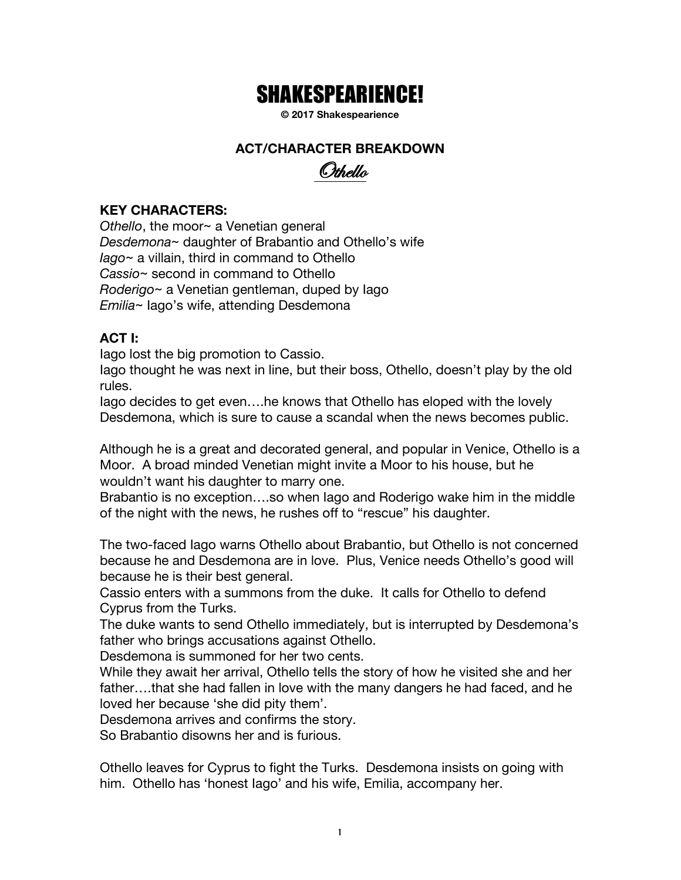# SHAKESPEARIENCE!

**© 2017 Shakespearience**

#### **ACT/CHARACTER BREAKDOWN**



#### **KEY CHARACTERS:**

*Othello*, the moor~ a Venetian general *Desdemona*~ daughter of Brabantio and Othello's wife *Iago*~ a villain, third in command to Othello *Cassio*~ second in command to Othello *Roderigo*~ a Venetian gentleman, duped by Iago *Emilia*~ Iago's wife, attending Desdemona

#### **ACT I:**

Iago lost the big promotion to Cassio.

Iago thought he was next in line, but their boss, Othello, doesn't play by the old rules.

Iago decides to get even….he knows that Othello has eloped with the lovely Desdemona, which is sure to cause a scandal when the news becomes public.

Although he is a great and decorated general, and popular in Venice, Othello is a Moor. A broad minded Venetian might invite a Moor to his house, but he wouldn't want his daughter to marry one.

Brabantio is no exception….so when Iago and Roderigo wake him in the middle of the night with the news, he rushes off to "rescue" his daughter.

The two-faced Iago warns Othello about Brabantio, but Othello is not concerned because he and Desdemona are in love. Plus, Venice needs Othello's good will because he is their best general.

Cassio enters with a summons from the duke. It calls for Othello to defend Cyprus from the Turks.

The duke wants to send Othello immediately, but is interrupted by Desdemona's father who brings accusations against Othello.

Desdemona is summoned for her two cents.

While they await her arrival, Othello tells the story of how he visited she and her father….that she had fallen in love with the many dangers he had faced, and he loved her because 'she did pity them'.

Desdemona arrives and confirms the story.

So Brabantio disowns her and is furious.

Othello leaves for Cyprus to fight the Turks. Desdemona insists on going with him. Othello has 'honest Iago' and his wife, Emilia, accompany her.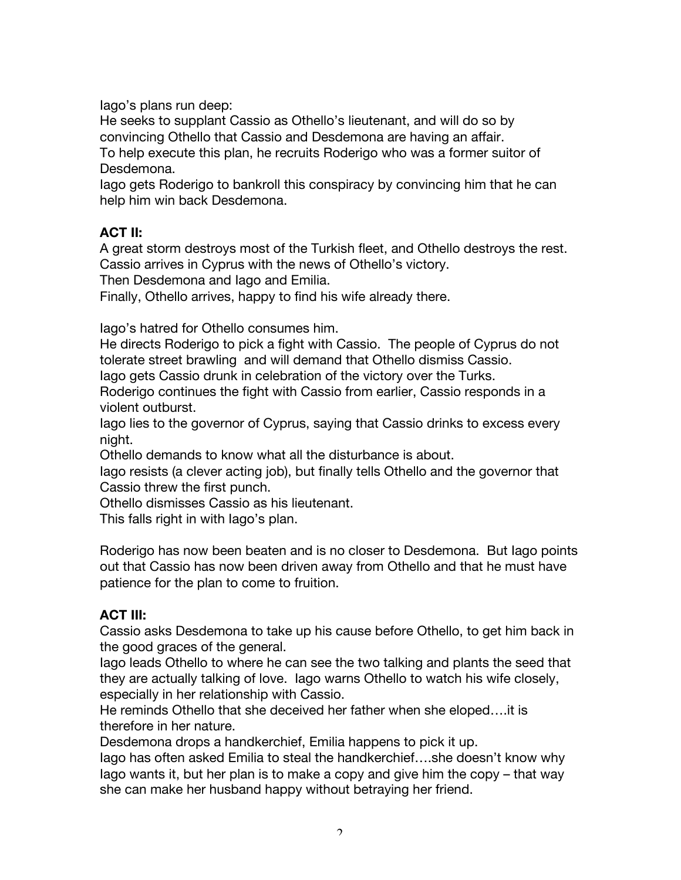Iago's plans run deep:

He seeks to supplant Cassio as Othello's lieutenant, and will do so by convincing Othello that Cassio and Desdemona are having an affair.

To help execute this plan, he recruits Roderigo who was a former suitor of Desdemona.

Iago gets Roderigo to bankroll this conspiracy by convincing him that he can help him win back Desdemona.

## **ACT II:**

A great storm destroys most of the Turkish fleet, and Othello destroys the rest. Cassio arrives in Cyprus with the news of Othello's victory.

Then Desdemona and Iago and Emilia.

Finally, Othello arrives, happy to find his wife already there.

Iago's hatred for Othello consumes him.

He directs Roderigo to pick a fight with Cassio. The people of Cyprus do not tolerate street brawling and will demand that Othello dismiss Cassio.

Iago gets Cassio drunk in celebration of the victory over the Turks.

Roderigo continues the fight with Cassio from earlier, Cassio responds in a violent outburst.

Iago lies to the governor of Cyprus, saying that Cassio drinks to excess every night.

Othello demands to know what all the disturbance is about.

Iago resists (a clever acting job), but finally tells Othello and the governor that Cassio threw the first punch.

Othello dismisses Cassio as his lieutenant.

This falls right in with Iago's plan.

Roderigo has now been beaten and is no closer to Desdemona. But Iago points out that Cassio has now been driven away from Othello and that he must have patience for the plan to come to fruition.

#### **ACT III:**

Cassio asks Desdemona to take up his cause before Othello, to get him back in the good graces of the general.

Iago leads Othello to where he can see the two talking and plants the seed that they are actually talking of love. Iago warns Othello to watch his wife closely, especially in her relationship with Cassio.

He reminds Othello that she deceived her father when she eloped….it is therefore in her nature.

Desdemona drops a handkerchief, Emilia happens to pick it up.

Iago has often asked Emilia to steal the handkerchief….she doesn't know why Iago wants it, but her plan is to make a copy and give him the copy – that way she can make her husband happy without betraying her friend.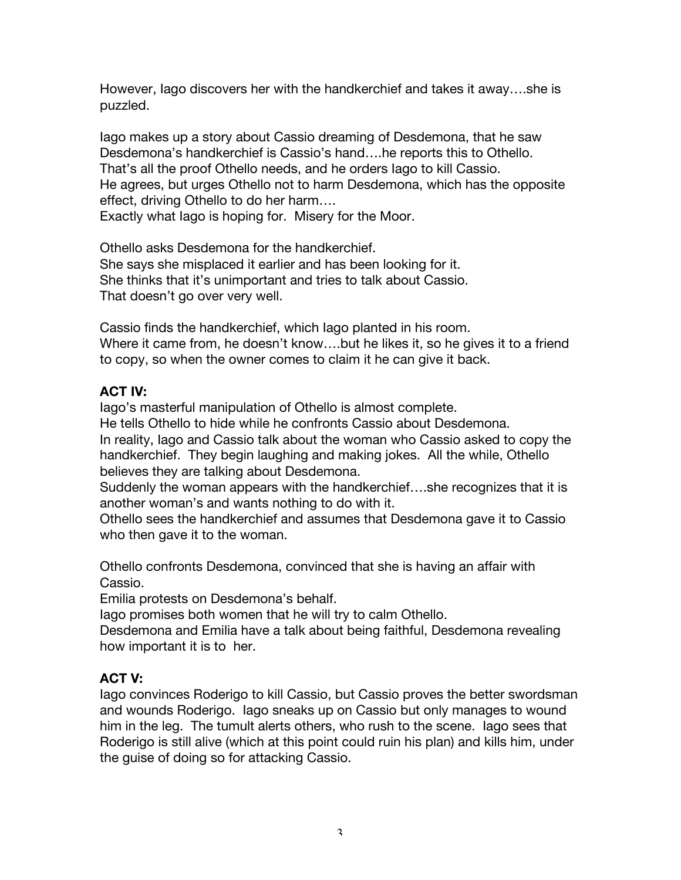However, Iago discovers her with the handkerchief and takes it away….she is puzzled.

Iago makes up a story about Cassio dreaming of Desdemona, that he saw Desdemona's handkerchief is Cassio's hand….he reports this to Othello. That's all the proof Othello needs, and he orders Iago to kill Cassio. He agrees, but urges Othello not to harm Desdemona, which has the opposite effect, driving Othello to do her harm….

Exactly what Iago is hoping for. Misery for the Moor.

Othello asks Desdemona for the handkerchief. She says she misplaced it earlier and has been looking for it. She thinks that it's unimportant and tries to talk about Cassio. That doesn't go over very well.

Cassio finds the handkerchief, which Iago planted in his room. Where it came from, he doesn't know….but he likes it, so he gives it to a friend to copy, so when the owner comes to claim it he can give it back.

## **ACT IV:**

Iago's masterful manipulation of Othello is almost complete. He tells Othello to hide while he confronts Cassio about Desdemona. In reality, Iago and Cassio talk about the woman who Cassio asked to copy the handkerchief. They begin laughing and making jokes. All the while, Othello believes they are talking about Desdemona.

Suddenly the woman appears with the handkerchief….she recognizes that it is another woman's and wants nothing to do with it.

Othello sees the handkerchief and assumes that Desdemona gave it to Cassio who then gave it to the woman.

Othello confronts Desdemona, convinced that she is having an affair with Cassio.

Emilia protests on Desdemona's behalf.

Iago promises both women that he will try to calm Othello.

Desdemona and Emilia have a talk about being faithful, Desdemona revealing how important it is to her.

## **ACT V:**

Iago convinces Roderigo to kill Cassio, but Cassio proves the better swordsman and wounds Roderigo. Iago sneaks up on Cassio but only manages to wound him in the leg. The tumult alerts others, who rush to the scene. Iago sees that Roderigo is still alive (which at this point could ruin his plan) and kills him, under the guise of doing so for attacking Cassio.